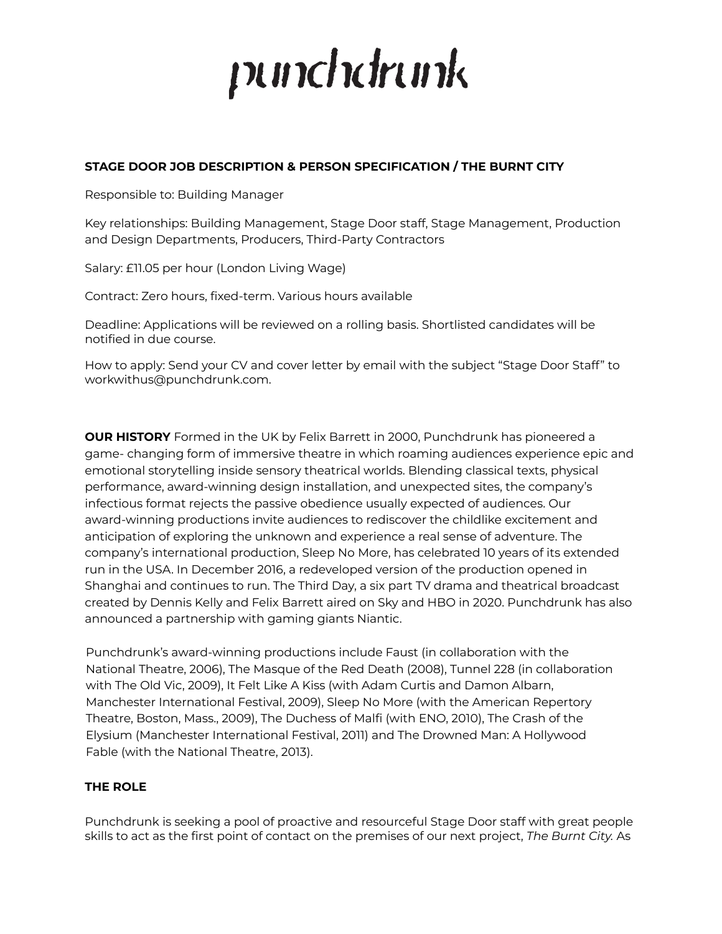# punchdrunk

# **STAGE DOOR JOB DESCRIPTION & PERSON SPECIFICATION / THE BURNT CITY**

Responsible to: Building Manager

Key relationships: Building Management, Stage Door staff, Stage Management, Production and Design Departments, Producers, Third-Party Contractors

Salary: £11.05 per hour (London Living Wage)

Contract: Zero hours, fixed-term. Various hours available

Deadline: Applications will be reviewed on a rolling basis. Shortlisted candidates will be notified in due course.

How to apply: Send your CV and cover letter by email with the subject "Stage Door Staff" to workwithus@punchdrunk.com.

**OUR HISTORY** Formed in the UK by Felix Barrett in 2000, Punchdrunk has pioneered a game- changing form of immersive theatre in which roaming audiences experience epic and emotional storytelling inside sensory theatrical worlds. Blending classical texts, physical performance, award-winning design installation, and unexpected sites, the company's infectious format rejects the passive obedience usually expected of audiences. Our award-winning productions invite audiences to rediscover the childlike excitement and anticipation of exploring the unknown and experience a real sense of adventure. The company's international production, Sleep No More, has celebrated 10 years of its extended run in the USA. In December 2016, a redeveloped version of the production opened in Shanghai and continues to run. The Third Day, a six part TV drama and theatrical broadcast created by Dennis Kelly and Felix Barrett aired on Sky and HBO in 2020. Punchdrunk has also announced a partnership with gaming giants Niantic.

Punchdrunk's award-winning productions include Faust (in collaboration with the National Theatre, 2006), The Masque of the Red Death (2008), Tunnel 228 (in collaboration with The Old Vic, 2009), It Felt Like A Kiss (with Adam Curtis and Damon Albarn, Manchester International Festival, 2009), Sleep No More (with the American Repertory Theatre, Boston, Mass., 2009), The Duchess of Malfi (with ENO, 2010), The Crash of the Elysium (Manchester International Festival, 2011) and The Drowned Man: A Hollywood Fable (with the National Theatre, 2013).

# **THE ROLE**

Punchdrunk is seeking a pool of proactive and resourceful Stage Door staff with great people skills to act as the first point of contact on the premises of our next project, *The Burnt City.* As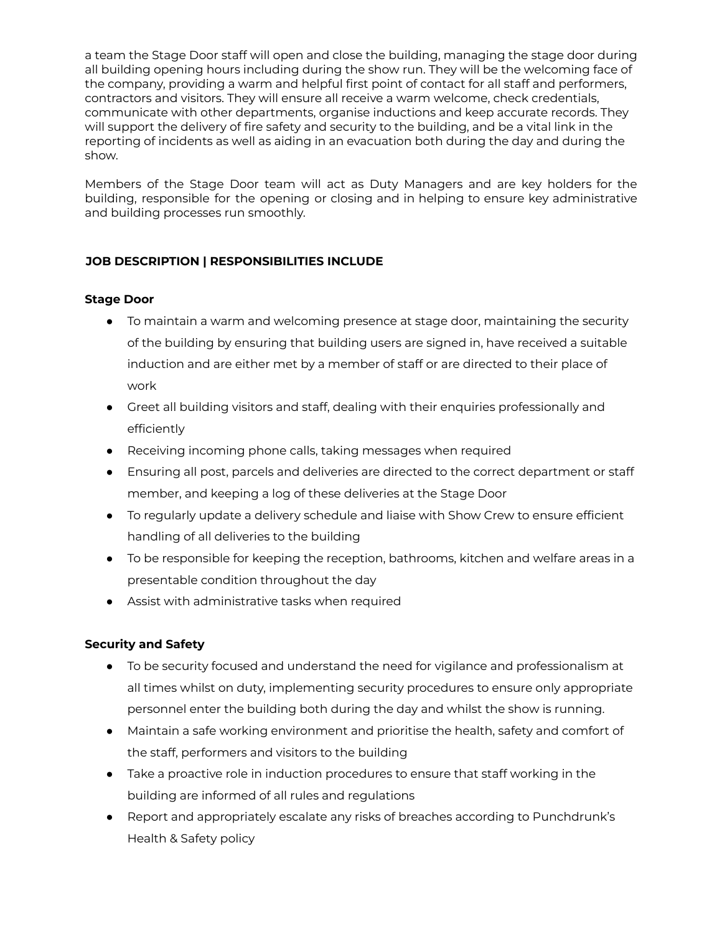a team the Stage Door staff will open and close the building, managing the stage door during all building opening hours including during the show run. They will be the welcoming face of the company, providing a warm and helpful first point of contact for all staff and performers, contractors and visitors. They will ensure all receive a warm welcome, check credentials, communicate with other departments, organise inductions and keep accurate records. They will support the delivery of fire safety and security to the building, and be a vital link in the reporting of incidents as well as aiding in an evacuation both during the day and during the show.

Members of the Stage Door team will act as Duty Managers and are key holders for the building, responsible for the opening or closing and in helping to ensure key administrative and building processes run smoothly.

# **JOB DESCRIPTION | RESPONSIBILITIES INCLUDE**

# **Stage Door**

- To maintain a warm and welcoming presence at stage door, maintaining the security of the building by ensuring that building users are signed in, have received a suitable induction and are either met by a member of staff or are directed to their place of work
- Greet all building visitors and staff, dealing with their enquiries professionally and efficiently
- Receiving incoming phone calls, taking messages when required
- Ensuring all post, parcels and deliveries are directed to the correct department or staff member, and keeping a log of these deliveries at the Stage Door
- To regularly update a delivery schedule and liaise with Show Crew to ensure efficient handling of all deliveries to the building
- To be responsible for keeping the reception, bathrooms, kitchen and welfare areas in a presentable condition throughout the day
- Assist with administrative tasks when required

# **Security and Safety**

- To be security focused and understand the need for vigilance and professionalism at all times whilst on duty, implementing security procedures to ensure only appropriate personnel enter the building both during the day and whilst the show is running.
- Maintain a safe working environment and prioritise the health, safety and comfort of the staff, performers and visitors to the building
- Take a proactive role in induction procedures to ensure that staff working in the building are informed of all rules and regulations
- Report and appropriately escalate any risks of breaches according to Punchdrunk's Health & Safety policy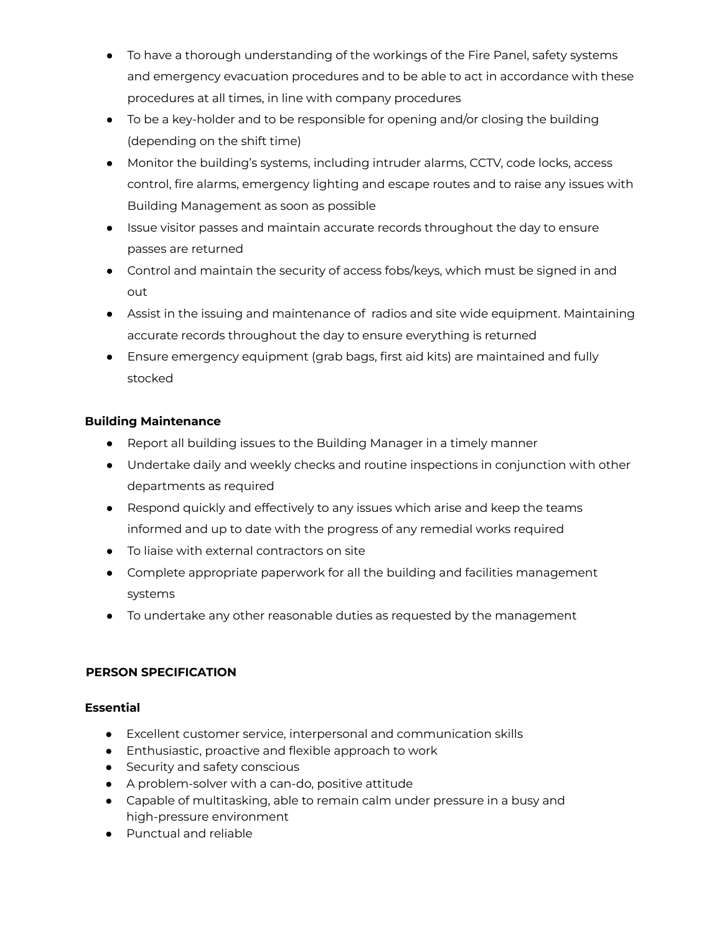- To have a thorough understanding of the workings of the Fire Panel, safety systems and emergency evacuation procedures and to be able to act in accordance with these procedures at all times, in line with company procedures
- To be a key-holder and to be responsible for opening and/or closing the building (depending on the shift time)
- Monitor the building's systems, including intruder alarms, CCTV, code locks, access control, fire alarms, emergency lighting and escape routes and to raise any issues with Building Management as soon as possible
- Issue visitor passes and maintain accurate records throughout the day to ensure passes are returned
- Control and maintain the security of access fobs/keys, which must be signed in and out
- Assist in the issuing and maintenance of radios and site wide equipment. Maintaining accurate records throughout the day to ensure everything is returned
- Ensure emergency equipment (grab bags, first aid kits) are maintained and fully stocked

# **Building Maintenance**

- Report all building issues to the Building Manager in a timely manner
- Undertake daily and weekly checks and routine inspections in conjunction with other departments as required
- Respond quickly and effectively to any issues which arise and keep the teams informed and up to date with the progress of any remedial works required
- To liaise with external contractors on site
- Complete appropriate paperwork for all the building and facilities management systems
- To undertake any other reasonable duties as requested by the management

# **PERSON SPECIFICATION**

# **Essential**

- Excellent customer service, interpersonal and communication skills
- Enthusiastic, proactive and flexible approach to work
- Security and safety conscious
- A problem-solver with a can-do, positive attitude
- Capable of multitasking, able to remain calm under pressure in a busy and high-pressure environment
- Punctual and reliable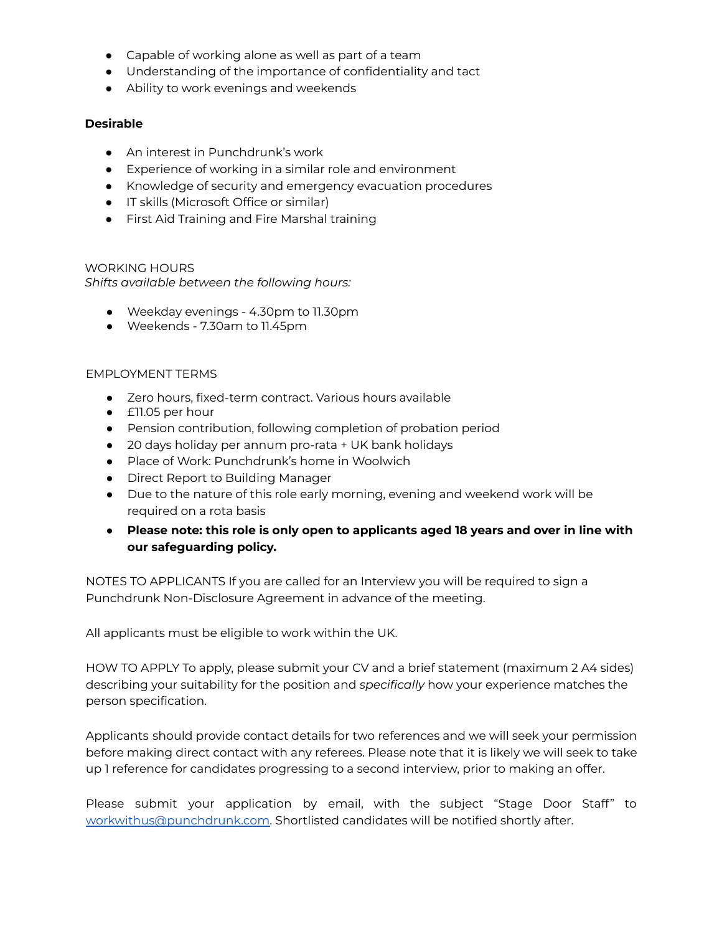- Capable of working alone as well as part of a team
- Understanding of the importance of confidentiality and tact
- Ability to work evenings and weekends

#### **Desirable**

- An interest in Punchdrunk's work
- Experience of working in a similar role and environment
- Knowledge of security and emergency evacuation procedures
- IT skills (Microsoft Office or similar)
- First Aid Training and Fire Marshal training

#### WORKING HOURS

*Shifts available between the following hours:*

- Weekday evenings 4.30pm to 11.30pm
- Weekends 7.30am to 11.45pm

#### EMPLOYMENT TERMS

- Zero hours, fixed-term contract. Various hours available
- £11.05 per hour
- Pension contribution, following completion of probation period
- 20 days holiday per annum pro-rata + UK bank holidays
- Place of Work: Punchdrunk's home in Woolwich
- Direct Report to Building Manager
- Due to the nature of this role early morning, evening and weekend work will be required on a rota basis
- **Please note: this role is only open to applicants aged 18 years and over in line with our safeguarding policy.**

NOTES TO APPLICANTS If you are called for an Interview you will be required to sign a Punchdrunk Non-Disclosure Agreement in advance of the meeting.

All applicants must be eligible to work within the UK.

HOW TO APPLY To apply, please submit your CV and a brief statement (maximum 2 A4 sides) describing your suitability for the position and *specifically* how your experience matches the person specification.

Applicants should provide contact details for two references and we will seek your permission before making direct contact with any referees. Please note that it is likely we will seek to take up 1 reference for candidates progressing to a second interview, prior to making an offer.

Please submit your application by email, with the subject "Stage Door Staff" to [workwithus@punchdrunk.com.](mailto:workwithus@punchdrunk.com) Shortlisted candidates will be notified shortly after.